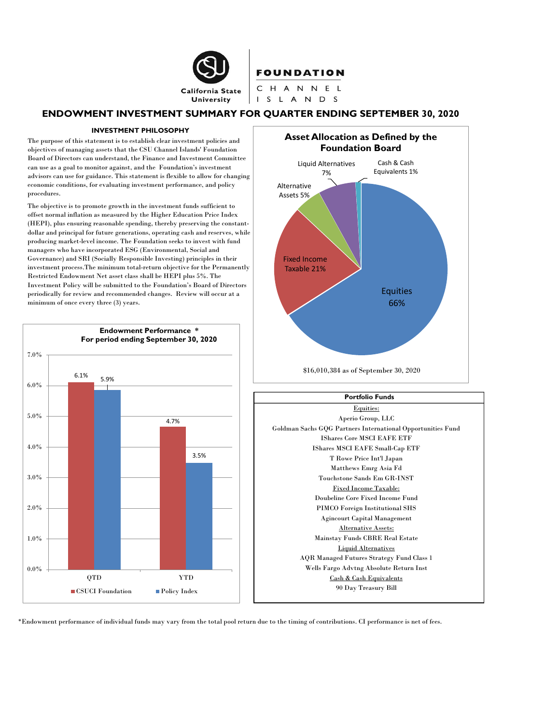**FOUNDATION** CHANNEL California State **University** I S L A N D S

## ENDOWMENT INVESTMENT SUMMARY FOR QUARTER ENDING SEPTEMBER 30, 2020

### INVESTMENT PHILOSOPHY

 The purpose of this statement is to establish clear investment policies and objectives of managing assets that the CSU Channel Islands' Foundation Board of Directors can understand, the Finance and Investment Committee can use as a goal to monitor against, and the Foundation's investment advisors can use for guidance. This statement is flexible to allow for changing economic conditions, for evaluating investment performance, and policy procedures.

 The objective is to promote growth in the investment funds sufficient to offset normal inflation as measured by the Higher Education Price Index (HEPI), plus ensuring reasonable spending, thereby preserving the constant- dollar and principal for future generations, operating cash and reserves, while producing market-level income. The Foundation seeks to invest with fund managers who have incorporated ESG (Environmental, Social and Governance) and SRI (Socially Responsible Investing) principles in their investment process.The minimum total-return objective for the Permanently Restricted Endowment Net asset class shall be HEPI plus 5%. The Investment Policy will be submitted to the Foundation's Board of Directors periodically for review and recommended changes. Review will occur at a minimum of once every three (3) years.





\$16,010,384 as of September 30, 2020



\*Endowment performance of individual funds may vary from the total pool return due to the timing of contributions. CI performance is net of fees.